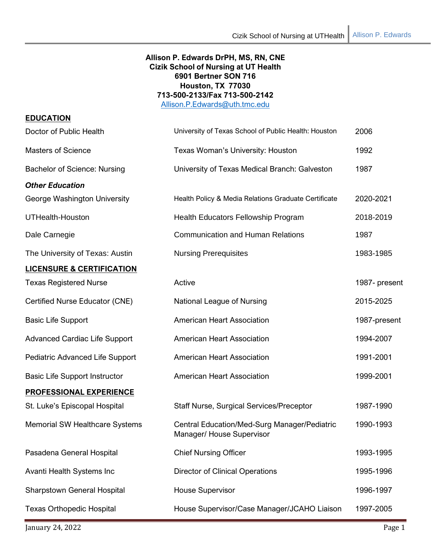# **Allison P. Edwards DrPH, MS, RN, CNE Cizik School of Nursing at UT Health 6901 Bertner SON 716 Houston, TX 77030 713-500-2133/Fax 713-500-2142**

[Allison.P.Edwards@uth.tmc.edu](about:blank)

| University of Texas School of Public Health: Houston                      | 2006          |
|---------------------------------------------------------------------------|---------------|
| Texas Woman's University: Houston                                         | 1992          |
| University of Texas Medical Branch: Galveston                             | 1987          |
|                                                                           |               |
| Health Policy & Media Relations Graduate Certificate                      | 2020-2021     |
| Health Educators Fellowship Program                                       | 2018-2019     |
| <b>Communication and Human Relations</b>                                  | 1987          |
| <b>Nursing Prerequisites</b>                                              | 1983-1985     |
|                                                                           |               |
| Active                                                                    | 1987- present |
| National League of Nursing                                                | 2015-2025     |
| <b>American Heart Association</b>                                         | 1987-present  |
| <b>American Heart Association</b>                                         | 1994-2007     |
| <b>American Heart Association</b>                                         | 1991-2001     |
| <b>American Heart Association</b>                                         | 1999-2001     |
|                                                                           |               |
| <b>Staff Nurse, Surgical Services/Preceptor</b>                           | 1987-1990     |
| Central Education/Med-Surg Manager/Pediatric<br>Manager/ House Supervisor | 1990-1993     |
| <b>Chief Nursing Officer</b>                                              | 1993-1995     |
| <b>Director of Clinical Operations</b>                                    | 1995-1996     |
| <b>House Supervisor</b>                                                   | 1996-1997     |
| House Supervisor/Case Manager/JCAHO Liaison                               | 1997-2005     |
|                                                                           |               |

January 24, 2022 Page 1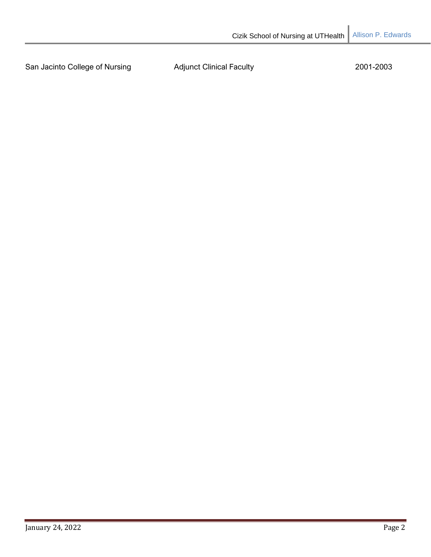San Jacinto College of Nursing **Adjunct Clinical Faculty** 2001-2003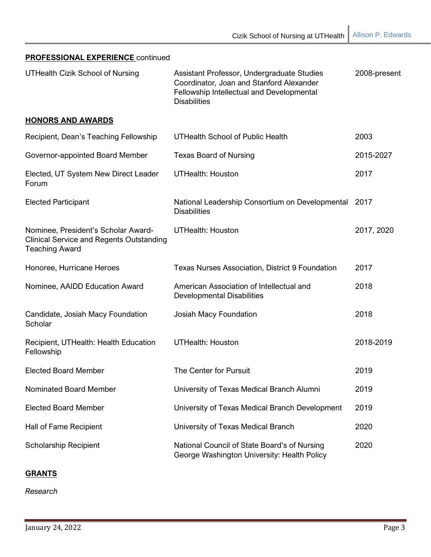| PROFESSIONAL EXPERIENCE continued                                                                               |                                                                                                                                                            |              |
|-----------------------------------------------------------------------------------------------------------------|------------------------------------------------------------------------------------------------------------------------------------------------------------|--------------|
| <b>UTHealth Cizik School of Nursing</b>                                                                         | Assistant Professor, Undergraduate Studies<br>Coordinator, Joan and Stanford Alexander<br>Fellowship Intellectual and Developmental<br><b>Disabilities</b> | 2008-present |
| <b>HONORS AND AWARDS</b>                                                                                        |                                                                                                                                                            |              |
| Recipient, Dean's Teaching Fellowship                                                                           | UTHealth School of Public Health                                                                                                                           | 2003         |
| Governor-appointed Board Member                                                                                 | <b>Texas Board of Nursing</b>                                                                                                                              | 2015-2027    |
| Elected, UT System New Direct Leader<br>Forum                                                                   | <b>UTHealth: Houston</b>                                                                                                                                   | 2017         |
| <b>Elected Participant</b>                                                                                      | National Leadership Consortium on Developmental<br><b>Disabilities</b>                                                                                     | 2017         |
| Nominee, President's Scholar Award-<br><b>Clinical Service and Regents Outstanding</b><br><b>Teaching Award</b> | <b>UTHealth: Houston</b>                                                                                                                                   | 2017, 2020   |
| Honoree, Hurricane Heroes                                                                                       | <b>Texas Nurses Association, District 9 Foundation</b>                                                                                                     | 2017         |
| Nominee, AAIDD Education Award                                                                                  | American Association of Intellectual and<br><b>Developmental Disabilities</b>                                                                              | 2018         |
| Candidate, Josiah Macy Foundation<br>Scholar                                                                    | Josiah Macy Foundation                                                                                                                                     | 2018         |
| Recipient, UTHealth: Health Education<br>Fellowship                                                             | <b>UTHealth: Houston</b>                                                                                                                                   | 2018-2019    |
| <b>Elected Board Member</b>                                                                                     | The Center for Pursuit                                                                                                                                     | 2019         |
| Nominated Board Member                                                                                          | University of Texas Medical Branch Alumni                                                                                                                  | 2019         |
| <b>Elected Board Member</b>                                                                                     | University of Texas Medical Branch Development                                                                                                             | 2019         |
| Hall of Fame Recipient                                                                                          | University of Texas Medical Branch                                                                                                                         | 2020         |
| <b>Scholarship Recipient</b>                                                                                    | National Council of State Board's of Nursing<br>George Washington University: Health Policy                                                                | 2020         |

# **GRANTS**

*Research*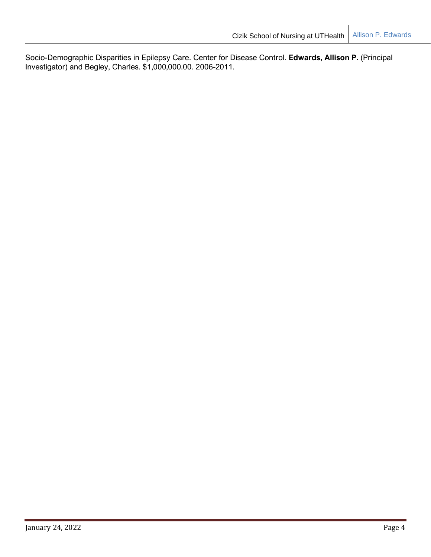Socio-Demographic Disparities in Epilepsy Care. Center for Disease Control. **Edwards, Allison P.** (Principal Investigator) and Begley, Charles. \$1,000,000.00. 2006-2011.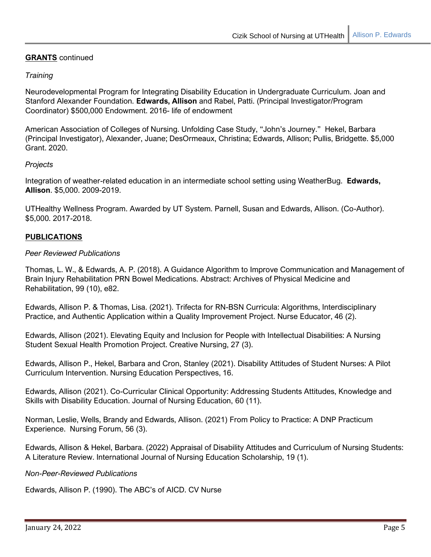# **GRANTS** continued

# *Training*

Neurodevelopmental Program for Integrating Disability Education in Undergraduate Curriculum. Joan and Stanford Alexander Foundation. **Edwards, Allison** and Rabel, Patti. (Principal Investigator/Program Coordinator) \$500,000 Endowment. 2016- life of endowment

American Association of Colleges of Nursing. Unfolding Case Study, "John's Journey." Hekel, Barbara (Principal Investigator), Alexander, Juane; DesOrmeaux, Christina; Edwards, Allison; Pullis, Bridgette. \$5,000 Grant. 2020.

## *Projects*

Integration of weather-related education in an intermediate school setting using WeatherBug. **Edwards, Allison**. \$5,000. 2009-2019.

UTHealthy Wellness Program. Awarded by UT System. Parnell, Susan and Edwards, Allison. (Co-Author). \$5,000. 2017-2018.

# **PUBLICATIONS**

## *Peer Reviewed Publications*

Thomas, L. W., & Edwards, A. P. (2018). A Guidance Algorithm to Improve Communication and Management of Brain Injury Rehabilitation PRN Bowel Medications. Abstract: Archives of Physical Medicine and Rehabilitation, 99 (10), e82.

Edwards, Allison P. & Thomas, Lisa. (2021). Trifecta for RN-BSN Curricula: Algorithms, Interdisciplinary Practice, and Authentic Application within a Quality Improvement Project. Nurse Educator, 46 (2).

Edwards, Allison (2021). Elevating Equity and Inclusion for People with Intellectual Disabilities: A Nursing Student Sexual Health Promotion Project. Creative Nursing, 27 (3).

Edwards, Allison P., Hekel, Barbara and Cron, Stanley (2021). Disability Attitudes of Student Nurses: A Pilot Curriculum Intervention. Nursing Education Perspectives, 16.

Edwards, Allison (2021). Co-Curricular Clinical Opportunity: Addressing Students Attitudes, Knowledge and Skills with Disability Education. Journal of Nursing Education, 60 (11).

Norman, Leslie, Wells, Brandy and Edwards, Allison. (2021) From Policy to Practice: A DNP Practicum Experience. Nursing Forum, 56 (3).

Edwards, Allison & Hekel, Barbara. (2022) Appraisal of Disability Attitudes and Curriculum of Nursing Students: A Literature Review. International Journal of Nursing Education Scholarship, 19 (1).

## *Non-Peer-Reviewed Publications*

Edwards, Allison P. (1990). The ABC's of AICD. CV Nurse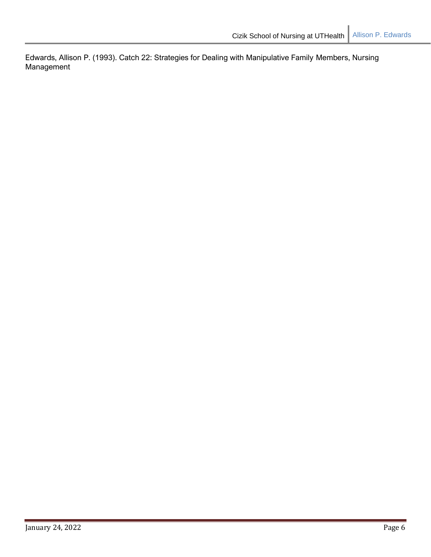Edwards, Allison P. (1993). Catch 22: Strategies for Dealing with Manipulative Family Members, Nursing Management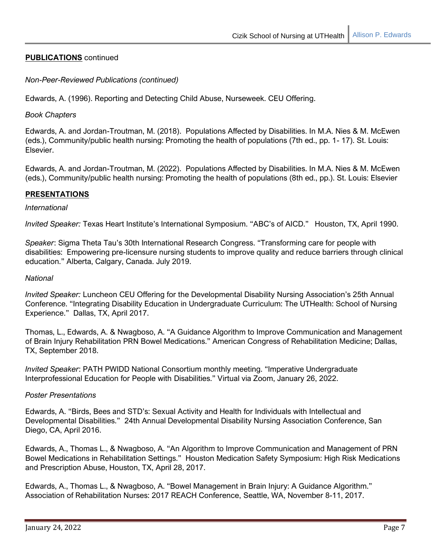# **PUBLICATIONS** continued

*Non-Peer-Reviewed Publications (continued)*

Edwards, A. (1996). Reporting and Detecting Child Abuse, Nurseweek. CEU Offering.

*Book Chapters*

Edwards, A. and Jordan-Troutman, M. (2018). Populations Affected by Disabilities. In M.A. Nies & M. McEwen (eds.), Community/public health nursing: Promoting the health of populations (7th ed., pp. 1- 17). St. Louis: Elsevier.

Edwards, A. and Jordan-Troutman, M. (2022). Populations Affected by Disabilities. In M.A. Nies & M. McEwen (eds.), Community/public health nursing: Promoting the health of populations (8th ed., pp.). St. Louis: Elsevier

# **PRESENTATIONS**

## *International*

*Invited Speaker:* Texas Heart Institute's International Symposium. "ABC's of AICD." Houston, TX, April 1990.

*Speaker*: Sigma Theta Tau's 30th International Research Congress. "Transforming care for people with disabilities: Empowering pre-licensure nursing students to improve quality and reduce barriers through clinical education." Alberta, Calgary, Canada. July 2019.

#### *National*

*Invited Speaker:* Luncheon CEU Offering for the Developmental Disability Nursing Association's 25th Annual Conference. "Integrating Disability Education in Undergraduate Curriculum: The UTHealth: School of Nursing Experience." Dallas, TX, April 2017.

Thomas, L., Edwards, A. & Nwagboso, A. "A Guidance Algorithm to Improve Communication and Management of Brain Injury Rehabilitation PRN Bowel Medications." American Congress of Rehabilitation Medicine; Dallas, TX, September 2018.

*Invited Speaker*: PATH PWIDD National Consortium monthly meeting. "Imperative Undergraduate Interprofessional Education for People with Disabilities." Virtual via Zoom, January 26, 2022.

## *Poster Presentations*

Edwards, A. "Birds, Bees and STD's: Sexual Activity and Health for Individuals with Intellectual and Developmental Disabilities." 24th Annual Developmental Disability Nursing Association Conference, San Diego, CA, April 2016.

Edwards, A., Thomas L., & Nwagboso, A. "An Algorithm to Improve Communication and Management of PRN Bowel Medications in Rehabilitation Settings." Houston Medication Safety Symposium: High Risk Medications and Prescription Abuse, Houston, TX, April 28, 2017.

Edwards, A., Thomas L., & Nwagboso, A. "Bowel Management in Brain Injury: A Guidance Algorithm." Association of Rehabilitation Nurses: 2017 REACH Conference, Seattle, WA, November 8-11, 2017.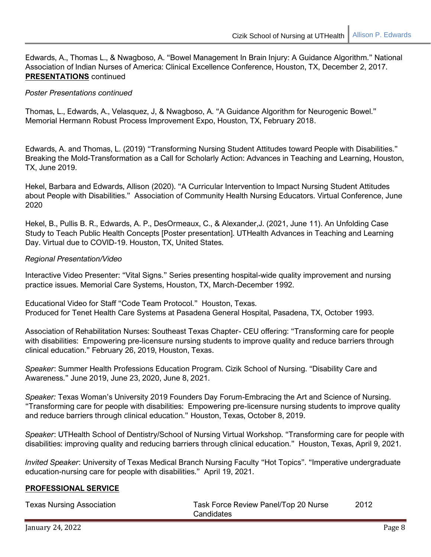Edwards, A., Thomas L., & Nwagboso, A. "Bowel Management In Brain Injury: A Guidance Algorithm." National Association of Indian Nurses of America: Clinical Excellence Conference, Houston, TX, December 2, 2017. **PRESENTATIONS** continued

## *Poster Presentations continued*

Thomas, L., Edwards, A., Velasquez, J, & Nwagboso, A. "A Guidance Algorithm for Neurogenic Bowel." Memorial Hermann Robust Process Improvement Expo, Houston, TX, February 2018.

Edwards, A. and Thomas, L. (2019) "Transforming Nursing Student Attitudes toward People with Disabilities." Breaking the Mold-Transformation as a Call for Scholarly Action: Advances in Teaching and Learning, Houston, TX, June 2019.

Hekel, Barbara and Edwards, Allison (2020). "A Curricular Intervention to Impact Nursing Student Attitudes about People with Disabilities." Association of Community Health Nursing Educators. Virtual Conference, June 2020

Hekel, B., Pullis B. R., Edwards, A. P., DesOrmeaux, C., & Alexander,J. (2021, June 11). An Unfolding Case Study to Teach Public Health Concepts [Poster presentation]. UTHealth Advances in Teaching and Learning Day. Virtual due to COVID-19. Houston, TX, United States.

# *Regional Presentation/Video*

Interactive Video Presenter: "Vital Signs." Series presenting hospital-wide quality improvement and nursing practice issues. Memorial Care Systems, Houston, TX, March-December 1992.

Educational Video for Staff "Code Team Protocol." Houston, Texas. Produced for Tenet Health Care Systems at Pasadena General Hospital, Pasadena, TX, October 1993.

Association of Rehabilitation Nurses: Southeast Texas Chapter- CEU offering: "Transforming care for people with disabilities: Empowering pre-licensure nursing students to improve quality and reduce barriers through clinical education." February 26, 2019, Houston, Texas.

*Speaker*: Summer Health Professions Education Program. Cizik School of Nursing. "Disability Care and Awareness." June 2019, June 23, 2020, June 8, 2021.

*Speaker:* Texas Woman's University 2019 Founders Day Forum-Embracing the Art and Science of Nursing. "Transforming care for people with disabilities: Empowering pre-licensure nursing students to improve quality and reduce barriers through clinical education." Houston, Texas, October 8, 2019.

*Speaker*: UTHealth School of Dentistry/School of Nursing Virtual Workshop. "Transforming care for people with disabilities: improving quality and reducing barriers through clinical education." Houston, Texas, April 9, 2021.

*Invited Speaker*: University of Texas Medical Branch Nursing Faculty "Hot Topics". "Imperative undergraduate education-nursing care for people with disabilities." April 19, 2021.

## **PROFESSIONAL SERVICE**

| <b>Texas Nursing Association</b> | Task Force Review Panel/Top 20 Nurse | 2012 |
|----------------------------------|--------------------------------------|------|
|                                  | Candidates                           |      |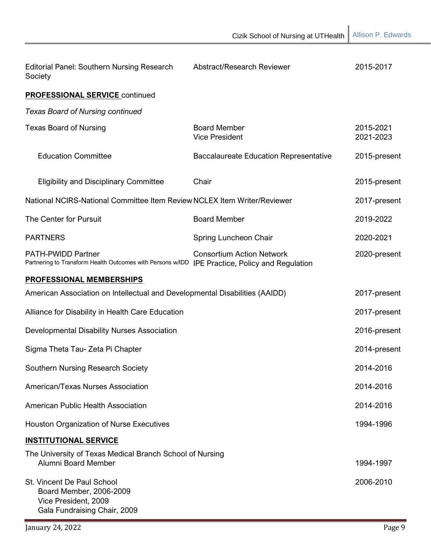| <b>Editorial Panel: Southern Nursing Research</b><br>Society                                                  | Abstract/Research Reviewer                                                     | 2015-2017              |
|---------------------------------------------------------------------------------------------------------------|--------------------------------------------------------------------------------|------------------------|
| <b>PROFESSIONAL SERVICE continued</b>                                                                         |                                                                                |                        |
| <b>Texas Board of Nursing continued</b>                                                                       |                                                                                |                        |
| <b>Texas Board of Nursing</b>                                                                                 | <b>Board Member</b><br><b>Vice President</b>                                   | 2015-2021<br>2021-2023 |
| <b>Education Committee</b>                                                                                    | <b>Baccalaureate Education Representative</b>                                  | 2015-present           |
| <b>Eligibility and Disciplinary Committee</b>                                                                 | Chair                                                                          | 2015-present           |
| National NCIRS-National Committee Item Review NCLEX Item Writer/Reviewer                                      |                                                                                | 2017-present           |
| The Center for Pursuit                                                                                        | <b>Board Member</b>                                                            | 2019-2022              |
| <b>PARTNERS</b>                                                                                               | Spring Luncheon Chair                                                          | 2020-2021              |
| <b>PATH-PWIDD Partner</b><br>Partnering to Transform Health Outcomes with Persons w/IDD                       | <b>Consortium Action Network</b><br><b>IPE Practice, Policy and Regulation</b> | 2020-present           |
| PROFESSIONAL MEMBERSHIPS                                                                                      |                                                                                |                        |
| American Association on Intellectual and Developmental Disabilities (AAIDD)                                   |                                                                                | 2017-present           |
| Alliance for Disability in Health Care Education                                                              |                                                                                | 2017-present           |
| Developmental Disability Nurses Association                                                                   |                                                                                | 2016-present           |
| Sigma Theta Tau- Zeta Pi Chapter                                                                              |                                                                                | 2014-present           |
| <b>Southern Nursing Research Society</b>                                                                      |                                                                                | 2014-2016              |
| American/Texas Nurses Association                                                                             |                                                                                | 2014-2016              |
| American Public Health Association                                                                            |                                                                                | 2014-2016              |
| <b>Houston Organization of Nurse Executives</b>                                                               |                                                                                | 1994-1996              |
| <b>INSTITUTIONAL SERVICE</b>                                                                                  |                                                                                |                        |
| The University of Texas Medical Branch School of Nursing<br><b>Alumni Board Member</b>                        |                                                                                | 1994-1997              |
| St. Vincent De Paul School<br>Board Member, 2006-2009<br>Vice President, 2009<br>Gala Fundraising Chair, 2009 |                                                                                | 2006-2010              |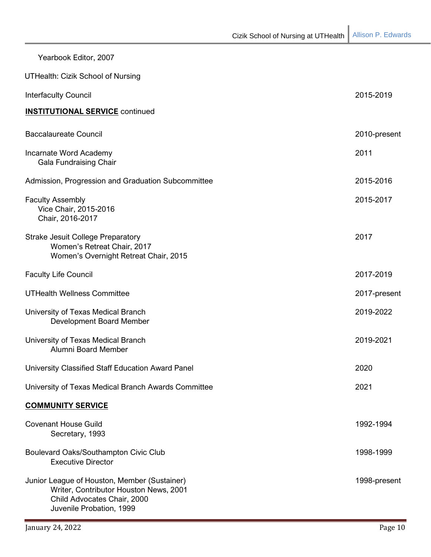| Yearbook Editor, 2007                                                                                                                             |              |
|---------------------------------------------------------------------------------------------------------------------------------------------------|--------------|
| <b>UTHealth: Cizik School of Nursing</b>                                                                                                          |              |
| <b>Interfaculty Council</b>                                                                                                                       | 2015-2019    |
| <b>INSTITUTIONAL SERVICE</b> continued                                                                                                            |              |
| <b>Baccalaureate Council</b>                                                                                                                      | 2010-present |
| Incarnate Word Academy<br><b>Gala Fundraising Chair</b>                                                                                           | 2011         |
| Admission, Progression and Graduation Subcommittee                                                                                                | 2015-2016    |
| <b>Faculty Assembly</b><br>Vice Chair, 2015-2016<br>Chair, 2016-2017                                                                              | 2015-2017    |
| <b>Strake Jesuit College Preparatory</b><br>Women's Retreat Chair, 2017<br>Women's Overnight Retreat Chair, 2015                                  | 2017         |
| <b>Faculty Life Council</b>                                                                                                                       | 2017-2019    |
| <b>UTHealth Wellness Committee</b>                                                                                                                | 2017-present |
| University of Texas Medical Branch<br>Development Board Member                                                                                    | 2019-2022    |
| University of Texas Medical Branch<br>Alumni Board Member                                                                                         | 2019-2021    |
| University Classified Staff Education Award Panel                                                                                                 | 2020         |
| University of Texas Medical Branch Awards Committee                                                                                               | 2021         |
| <b>COMMUNITY SERVICE</b>                                                                                                                          |              |
| <b>Covenant House Guild</b><br>Secretary, 1993                                                                                                    | 1992-1994    |
| Boulevard Oaks/Southampton Civic Club<br><b>Executive Director</b>                                                                                | 1998-1999    |
| Junior League of Houston, Member (Sustainer)<br>Writer, Contributor Houston News, 2001<br>Child Advocates Chair, 2000<br>Juvenile Probation, 1999 | 1998-present |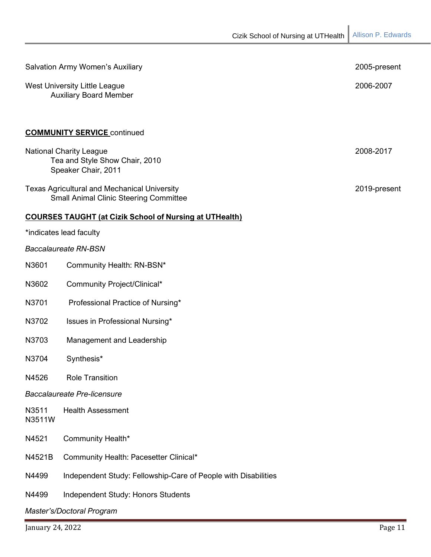| <b>Salvation Army Women's Auxiliary</b> |                                                                                                      | 2005-present |  |
|-----------------------------------------|------------------------------------------------------------------------------------------------------|--------------|--|
|                                         | <b>West University Little League</b><br><b>Auxiliary Board Member</b>                                | 2006-2007    |  |
|                                         | <b>COMMUNITY SERVICE continued</b>                                                                   |              |  |
|                                         | <b>National Charity League</b><br>Tea and Style Show Chair, 2010<br>Speaker Chair, 2011              | 2008-2017    |  |
|                                         | <b>Texas Agricultural and Mechanical University</b><br><b>Small Animal Clinic Steering Committee</b> | 2019-present |  |
|                                         | <b>COURSES TAUGHT (at Cizik School of Nursing at UTHealth)</b>                                       |              |  |
|                                         | *indicates lead faculty                                                                              |              |  |
|                                         | <b>Baccalaureate RN-BSN</b>                                                                          |              |  |
| N3601                                   | Community Health: RN-BSN*                                                                            |              |  |
| N3602                                   | Community Project/Clinical*                                                                          |              |  |
| N3701                                   | Professional Practice of Nursing*                                                                    |              |  |
| N3702                                   | Issues in Professional Nursing*                                                                      |              |  |
| N3703                                   | Management and Leadership                                                                            |              |  |
| N3704                                   | Synthesis*                                                                                           |              |  |
| N4526                                   | <b>Role Transition</b>                                                                               |              |  |
|                                         | <b>Baccalaureate Pre-licensure</b>                                                                   |              |  |
| N3511<br>N3511W                         | <b>Health Assessment</b>                                                                             |              |  |
| N4521                                   | Community Health*                                                                                    |              |  |
| N4521B                                  | Community Health: Pacesetter Clinical*                                                               |              |  |
| N4499                                   | Independent Study: Fellowship-Care of People with Disabilities                                       |              |  |
| N4499                                   | Independent Study: Honors Students                                                                   |              |  |
| Master's/Doctoral Program               |                                                                                                      |              |  |